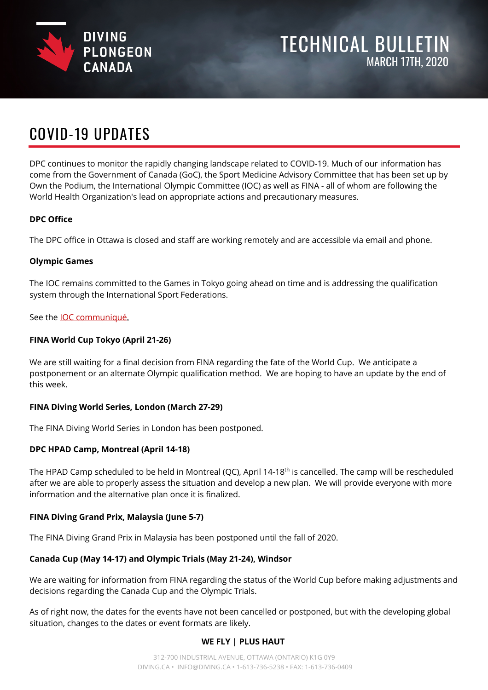

# TECHNICAL BULLETIN MARCH 17TH, 2020

# COVID-19 UPDATES

DPC continues to monitor the rapidly changing landscape related to COVID-19. Much of our information has come from the Government of Canada (GoC), the Sport Medicine Advisory Committee that has been set up by Own the Podium, the International Olympic Committee (IOC) as well as FINA - all of whom are following the World Health Organization's lead on appropriate actions and precautionary measures.

## **DPC Office**

The DPC office in Ottawa is closed and staff are working remotely and are accessible via email and phone.

#### **Olympic Games**

The IOC remains committed to the Games in Tokyo going ahead on time and is addressing the qualification system through the International Sport Federations.

See the [IOC communiqué.](https://www.olympic.org/news/communique-from-the-international-olympic-committee-ioc-regarding-the-olympic-games-tokyo-2020)

#### **FINA World Cup Tokyo (April 21-26)**

We are still waiting for a final decision from FINA regarding the fate of the World Cup. We anticipate a postponement or an alternate Olympic qualification method. We are hoping to have an update by the end of this week.

#### **FINA Diving World Series, London (March 27-29)**

The FINA Diving World Series in London has been postponed.

#### **DPC HPAD Camp, Montreal (April 14-18)**

The HPAD Camp scheduled to be held in Montreal (QC), April 14-18<sup>th</sup> is cancelled. The camp will be rescheduled after we are able to properly assess the situation and develop a new plan. We will provide everyone with more information and the alternative plan once it is finalized.

#### **FINA Diving Grand Prix, Malaysia (June 5-7)**

The FINA Diving Grand Prix in Malaysia has been postponed until the fall of 2020.

#### **Canada Cup (May 14-17) and Olympic Trials (May 21-24), Windsor**

We are waiting for information from FINA regarding the status of the World Cup before making adjustments and decisions regarding the Canada Cup and the Olympic Trials.

As of right now, the dates for the events have not been cancelled or postponed, but with the developing global situation, changes to the dates or event formats are likely.

#### **WE FLY | PLUS HAUT**